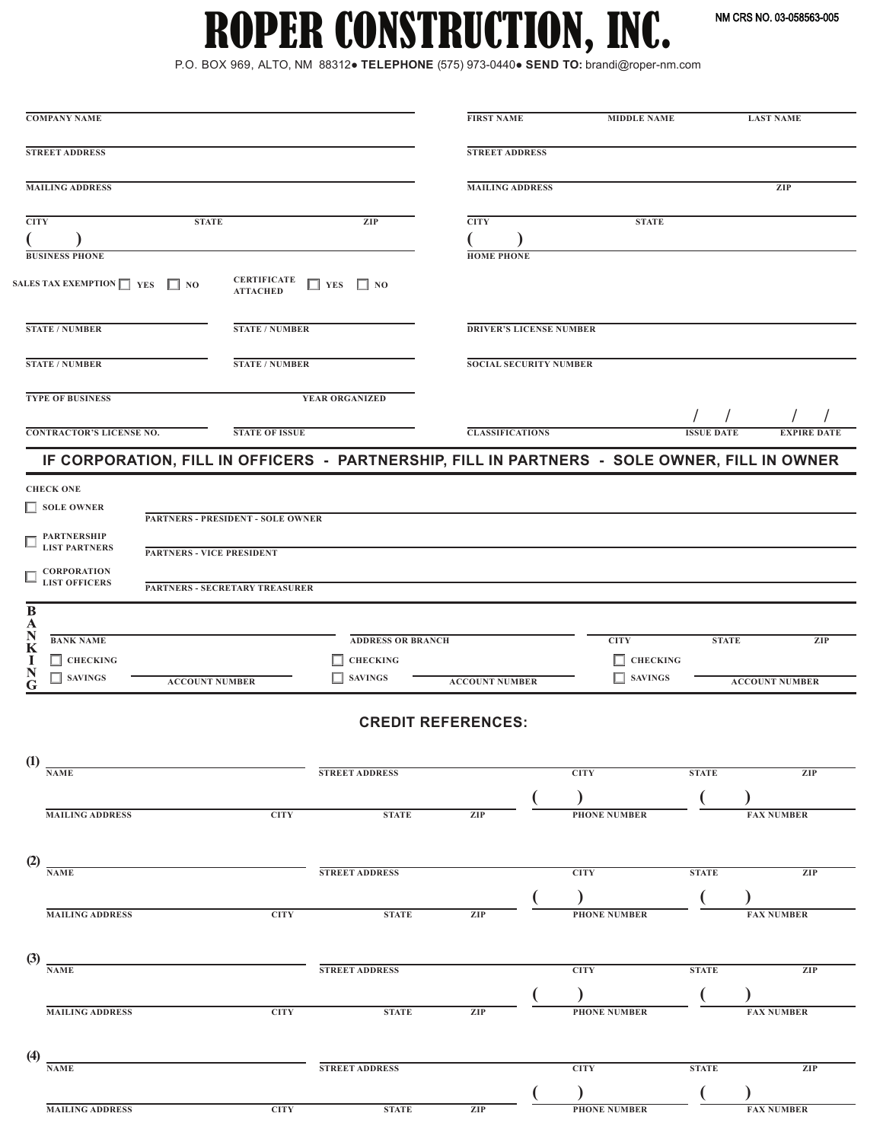NM CRS NO. 03-058563-005

# ROPER CONSTRUCTION, INC.

P.O. BOX 969, ALTO, NM 88312● **TELEPHONE** (575) 973-0440● **SEND TO:** brandi@roper-nm.com

| <b>COMPANY NAME</b>                            |                                                                                              |                          | <b>FIRST NAME</b>              | <b>MIDDLE NAME</b>  |                   | <b>LAST NAME</b>      |
|------------------------------------------------|----------------------------------------------------------------------------------------------|--------------------------|--------------------------------|---------------------|-------------------|-----------------------|
| <b>STREET ADDRESS</b>                          |                                                                                              |                          | <b>STREET ADDRESS</b>          |                     |                   |                       |
| <b>MAILING ADDRESS</b>                         |                                                                                              |                          | <b>MAILING ADDRESS</b>         |                     |                   | ZIP                   |
| <b>CITY</b>                                    | <b>STATE</b>                                                                                 | ZIP                      | <b>CITY</b>                    | <b>STATE</b>        |                   |                       |
|                                                |                                                                                              |                          |                                |                     |                   |                       |
| <b>BUSINESS PHONE</b>                          |                                                                                              |                          | <b>HOME PHONE</b>              |                     |                   |                       |
| SALES TAX EXEMPTION $\Box$ YES $\Box$ NO       | <b>CERTIFICATE</b><br><b>ATTACHED</b>                                                        | $\Box$ YES<br>$\Box$ NO  |                                |                     |                   |                       |
| <b>STATE / NUMBER</b>                          | <b>STATE / NUMBER</b>                                                                        |                          | <b>DRIVER'S LICENSE NUMBER</b> |                     |                   |                       |
| <b>STATE / NUMBER</b>                          | <b>STATE / NUMBER</b>                                                                        |                          | <b>SOCIAL SECURITY NUMBER</b>  |                     |                   |                       |
| <b>TYPE OF BUSINESS</b>                        |                                                                                              | YEAR ORGANIZED           |                                |                     |                   |                       |
| <b>CONTRACTOR'S LICENSE NO.</b>                | <b>STATE OF ISSUE</b>                                                                        |                          | <b>CLASSIFICATIONS</b>         |                     | <b>ISSUE DATE</b> | <b>EXPIRE DATE</b>    |
|                                                | IF CORPORATION, FILL IN OFFICERS - PARTNERSHIP, FILL IN PARTNERS - SOLE OWNER, FILL IN OWNER |                          |                                |                     |                   |                       |
| <b>CHECK ONE</b>                               |                                                                                              |                          |                                |                     |                   |                       |
| $\Box$ SOLE OWNER                              |                                                                                              |                          |                                |                     |                   |                       |
| PARTNERSHIP<br>LIST PARTNERS                   | <b>PARTNERS - PRESIDENT - SOLE OWNER</b>                                                     |                          |                                |                     |                   |                       |
|                                                | <b>PARTNERS - VICE PRESIDENT</b>                                                             |                          |                                |                     |                   |                       |
| <b>CORPORATION<br/>LIST OFFICERS</b><br>$\Box$ | PARTNERS - SECRETARY TREASURER                                                               |                          |                                |                     |                   |                       |
| B                                              |                                                                                              |                          |                                |                     |                   |                       |
| A<br>N<br><b>BANK NAME</b>                     |                                                                                              | <b>ADDRESS OR BRANCH</b> |                                | <b>CITY</b>         | <b>STATE</b>      | ZIP                   |
| K<br>$\Box$ CHECKING<br>1                      |                                                                                              | $\Box$ CHECKING          |                                | $\Box$ CHECKING     |                   |                       |
| N<br>$\Box$ SAVINGS<br>G                       | <b>ACCOUNT NUMBER</b>                                                                        | $\Box$ SAVINGS           | <b>ACCOUNT NUMBER</b>          | $\Box$ SAVINGS      |                   | <b>ACCOUNT NUMBER</b> |
|                                                |                                                                                              |                          | <b>CREDIT REFERENCES:</b>      |                     |                   |                       |
| $\left( \mathbf{1}\right)$<br><b>NAME</b>      |                                                                                              |                          |                                |                     |                   |                       |
|                                                |                                                                                              | STREET ADDRESS           |                                | <b>CITY</b>         | <b>STATE</b>      | ZIP                   |
|                                                |                                                                                              |                          |                                |                     |                   |                       |
| <b>MAILING ADDRESS</b>                         | <b>CITY</b>                                                                                  | <b>STATE</b>             | ZIP                            | <b>PHONE NUMBER</b> |                   | <b>FAX NUMBER</b>     |
| (2)                                            |                                                                                              |                          |                                |                     |                   |                       |
| <b>NAME</b>                                    |                                                                                              | <b>STREET ADDRESS</b>    |                                | <b>CITY</b>         | <b>STATE</b>      | ZIP                   |
|                                                |                                                                                              |                          |                                |                     |                   |                       |
| <b>MAILING ADDRESS</b>                         | <b>CITY</b>                                                                                  | <b>STATE</b>             | ZIP                            | <b>PHONE NUMBER</b> |                   | <b>FAX NUMBER</b>     |
| (3)                                            |                                                                                              |                          |                                |                     |                   |                       |
| <b>NAME</b>                                    |                                                                                              | <b>STREET ADDRESS</b>    |                                | <b>CITY</b>         | <b>STATE</b>      | ZIP                   |
|                                                |                                                                                              |                          |                                |                     |                   |                       |
| <b>MAILING ADDRESS</b>                         | CITY                                                                                         | <b>STATE</b>             | ZIP                            | <b>PHONE NUMBER</b> |                   | <b>FAX NUMBER</b>     |
| (4)                                            |                                                                                              |                          |                                |                     |                   |                       |
| <b>NAME</b>                                    |                                                                                              | <b>STREET ADDRESS</b>    |                                | <b>CITY</b>         | <b>STATE</b>      | <b>ZIP</b>            |
|                                                |                                                                                              |                          |                                |                     |                   |                       |
| <b>MAILING ADDRESS</b>                         | <b>CITY</b>                                                                                  | <b>STATE</b>             | ZIP                            | <b>PHONE NUMBER</b> |                   | <b>FAX NUMBER</b>     |